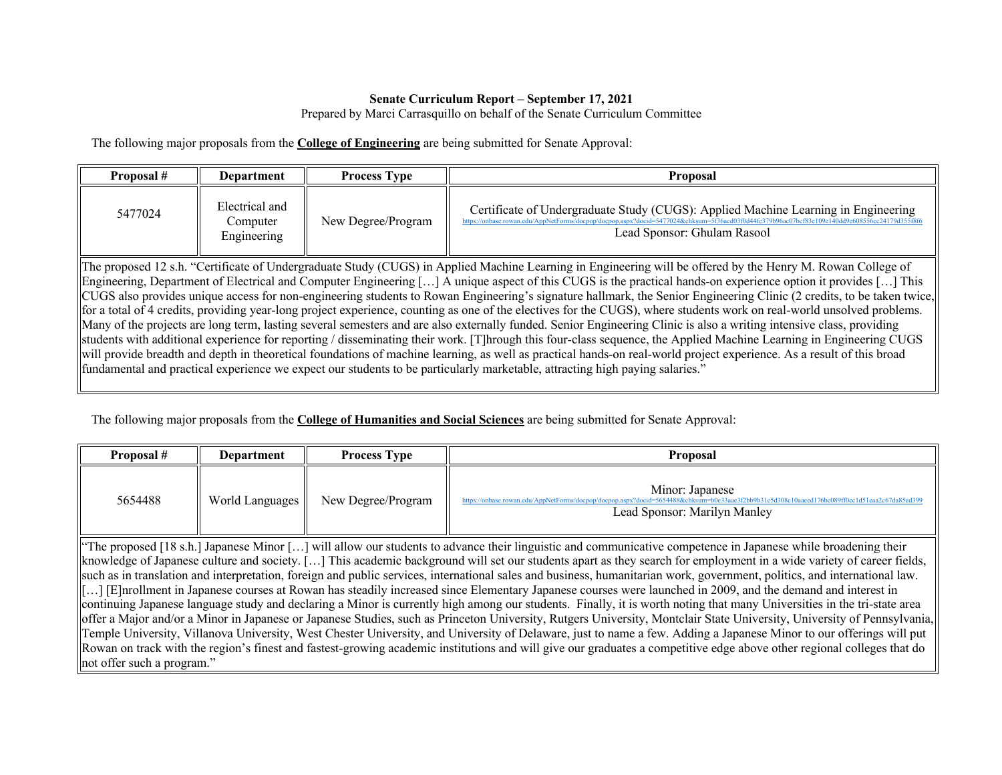## **Senate Curriculum Report – September 17, 2021**

Prepared by Marci Carrasquillo on behalf of the Senate Curriculum Committee

The following major proposals from the **College of Engineering** are being submitted for Senate Approval:

| Proposal #                                                                                                                                                                                                                                                                                                                                                                                                                                                                                                                                                                                                                                                                                                                                                                                                                                                                                                                                                                                                                                                                                                                                                                                                                                                                                                                              | Department                                | <b>Process Type</b> | <b>Proposal</b>                                                                                                                                                                                                  |  |  |
|-----------------------------------------------------------------------------------------------------------------------------------------------------------------------------------------------------------------------------------------------------------------------------------------------------------------------------------------------------------------------------------------------------------------------------------------------------------------------------------------------------------------------------------------------------------------------------------------------------------------------------------------------------------------------------------------------------------------------------------------------------------------------------------------------------------------------------------------------------------------------------------------------------------------------------------------------------------------------------------------------------------------------------------------------------------------------------------------------------------------------------------------------------------------------------------------------------------------------------------------------------------------------------------------------------------------------------------------|-------------------------------------------|---------------------|------------------------------------------------------------------------------------------------------------------------------------------------------------------------------------------------------------------|--|--|
| 5477024                                                                                                                                                                                                                                                                                                                                                                                                                                                                                                                                                                                                                                                                                                                                                                                                                                                                                                                                                                                                                                                                                                                                                                                                                                                                                                                                 | Electrical and<br>Computer<br>Engineering | New Degree/Program  | Certificate of Undergraduate Study (CUGS): Applied Machine Learning in Engineering<br>//onbase.rowan.edu/AppNetForms/docpon/docpon.aspx?docid=5477024&chksum=5f36acd03f0d44fe379b<br>Lead Sponsor: Ghulam Rasool |  |  |
| The proposed 12 s.h. "Certificate of Undergraduate Study (CUGS) in Applied Machine Learning in Engineering will be offered by the Henry M. Rowan College of<br>Engineering, Department of Electrical and Computer Engineering [] A unique aspect of this CUGS is the practical hands-on experience option it provides [] This<br>CUGS also provides unique access for non-engineering students to Rowan Engineering's signature hallmark, the Senior Engineering Clinic (2 credits, to be taken twice,<br>for a total of 4 credits, providing year-long project experience, counting as one of the electives for the CUGS), where students work on real-world unsolved problems.<br>Many of the projects are long term, lasting several semesters and are also externally funded. Senior Engineering Clinic is also a writing intensive class, providing<br>students with additional experience for reporting / disseminating their work. [T]hrough this four-class sequence, the Applied Machine Learning in Engineering CUGS<br>will provide breadth and depth in theoretical foundations of machine learning, as well as practical hands-on real-world project experience. As a result of this broad<br>fundamental and practical experience we expect our students to be particularly marketable, attracting high paying salaries." |                                           |                     |                                                                                                                                                                                                                  |  |  |

The following major proposals from the **College of Humanities and Social Sciences** are being submitted for Senate Approval:

| Proposal #                                                                                                                                                                | <b>Department</b> | <b>Process Type</b> | <b>Proposal</b>                                                                                                                                                                                  |  |  |
|---------------------------------------------------------------------------------------------------------------------------------------------------------------------------|-------------------|---------------------|--------------------------------------------------------------------------------------------------------------------------------------------------------------------------------------------------|--|--|
| 5654488                                                                                                                                                                   | World Languages   | New Degree/Program  | Minor: Japanese<br>https://onbase.rowan.edu/AppNetForms/docpop/docpop.aspx?docid=5654488&chksum=b0e33aae3f2bb9b31e5d308c10aaeed176bc089ff0cc1d51eaa2c67da85ed399<br>Lead Sponsor: Marilyn Manley |  |  |
| "The proposed [18 s.h.] Japanese Minor [] will allow our students to advance their linguistic and communicative competence in Japanese while broadening their             |                   |                     |                                                                                                                                                                                                  |  |  |
| knowledge of Japanese culture and society. [] This academic background will set our students apart as they search for employment in a wide variety of career fields,      |                   |                     |                                                                                                                                                                                                  |  |  |
| such as in translation and interpretation, foreign and public services, international sales and business, humanitarian work, government, politics, and international law. |                   |                     |                                                                                                                                                                                                  |  |  |
| [[] [E]nrollment in Japanese courses at Rowan has steadily increased since Elementary Japanese courses were launched in 2009, and the demand and interest in              |                   |                     |                                                                                                                                                                                                  |  |  |
| continuing Japanese language study and declaring a Minor is currently high among our students. Finally, it is worth noting that many Universities in the tri-state area   |                   |                     |                                                                                                                                                                                                  |  |  |
| offer a Major and/or a Minor in Japanese or Japanese Studies, such as Princeton University, Rutgers University, Montclair State University, University of Pennsylvania,   |                   |                     |                                                                                                                                                                                                  |  |  |
| Temple University, Villanova University, West Chester University, and University of Delaware, just to name a few. Adding a Japanese Minor to our offerings will put       |                   |                     |                                                                                                                                                                                                  |  |  |
| Rowan on track with the region's finest and fastest-growing academic institutions and will give our graduates a competitive edge above other regional colleges that do    |                   |                     |                                                                                                                                                                                                  |  |  |
| not offer such a program."                                                                                                                                                |                   |                     |                                                                                                                                                                                                  |  |  |